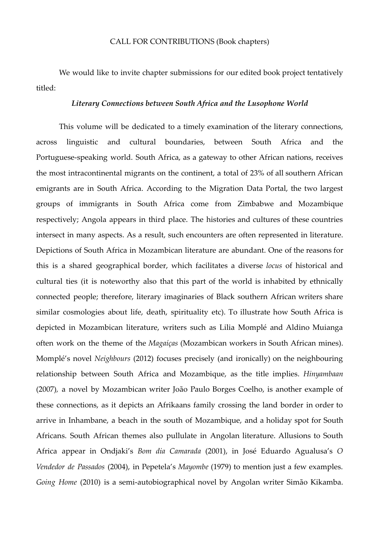## CALL FOR CONTRIBUTIONS (Book chapters)

We would like to invite chapter submissions for our edited book project tentatively titled:

## *Literary Connections between South Africa and the Lusophone World*

This volume will be dedicated to a timely examination of the literary connections, across linguistic and cultural boundaries, between South Africa and the Portuguese-speaking world. South Africa, as a gateway to other African nations, receives the most intracontinental migrants on the continent, a total of 23% of all southern African emigrants are in South Africa. According to the Migration Data Portal, the two largest groups of immigrants in South Africa come from Zimbabwe and Mozambique respectively; Angola appears in third place. The histories and cultures of these countries intersect in many aspects. As a result, such encounters are often represented in literature. Depictions of South Africa in Mozambican literature are abundant. One of the reasons for this is a shared geographical border, which facilitates a diverse *locus* of historical and cultural ties (it is noteworthy also that this part of the world is inhabited by ethnically connected people; therefore, literary imaginaries of Black southern African writers share similar cosmologies about life, death, spirituality etc). To illustrate how South Africa is depicted in Mozambican literature, writers such as Lilia Momplé and Aldino Muianga often work on the theme of the *Magaíças* (Mozambican workers in South African mines). Momplé's novel *Neighbours* (2012) focuses precisely (and ironically) on the neighbouring relationship between South Africa and Mozambique, as the title implies. *Hinyambaan* (2007)*,* a novel by Mozambican writer João Paulo Borges Coelho, is another example of these connections, as it depicts an Afrikaans family crossing the land border in order to arrive in Inhambane, a beach in the south of Mozambique, and a holiday spot for South Africans. South African themes also pullulate in Angolan literature. Allusions to South Africa appear in Ondjaki's *Bom dia Camarada* (2001), in José Eduardo Agualusa's *O Vendedor de Passados* (2004), in Pepetela's *Mayombe* (1979) to mention just a few examples. *Going Home* (2010) is a semi-autobiographical novel by Angolan writer Simão Kikamba.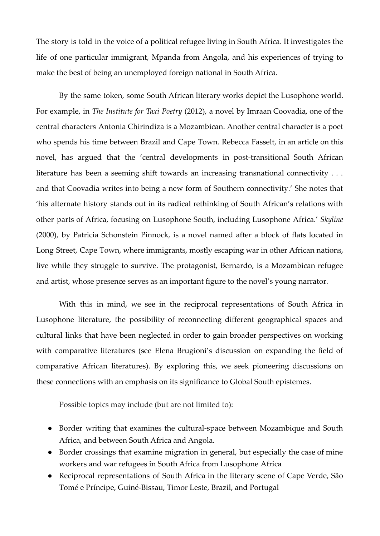The story is told in the voice of a political refugee living in South Africa. It investigates the life of one particular immigrant, Mpanda from Angola, and his experiences of trying to make the best of being an unemployed foreign national in South Africa.

By the same token, some South African literary works depict the Lusophone world. For example, in *The Institute for Taxi Poetry* (2012), a novel by Imraan Coovadia, one of the central characters Antonia Chirindiza is a Mozambican. Another central character is a poet who spends his time between Brazil and Cape Town. Rebecca Fasselt, in an article on this novel, has argued that the 'central developments in post-transitional South African literature has been a seeming shift towards an increasing transnational connectivity . . . and that Coovadia writes into being a new form of Southern connectivity.' She notes that 'his alternate history stands out in its radical rethinking of South African's relations with other parts of Africa, focusing on Lusophone South, including Lusophone Africa.' *Skyline* (2000), by Patricia Schonstein Pinnock, is a novel named after a block of flats located in Long Street, Cape Town, where immigrants, mostly escaping war in other African nations, live while they struggle to survive. The protagonist, Bernardo, is a Mozambican refugee and artist, whose presence serves as an important figure to the novel's young narrator.

With this in mind, we see in the reciprocal representations of South Africa in Lusophone literature, the possibility of reconnecting different geographical spaces and cultural links that have been neglected in order to gain broader perspectives on working with comparative literatures (see Elena Brugioni's discussion on expanding the field of comparative African literatures). By exploring this, we seek pioneering discussions on these connections with an emphasis on its significance to Global South epistemes.

Possible topics may include (but are not limited to):

- Border writing that examines the cultural-space between Mozambique and South Africa, and between South Africa and Angola.
- Border crossings that examine migration in general, but especially the case of mine workers and war refugees in South Africa from Lusophone Africa
- Reciprocal representations of South Africa in the literary scene of Cape Verde, São Tomé e Príncipe, Guiné-Bissau, Timor Leste, Brazil, and Portugal